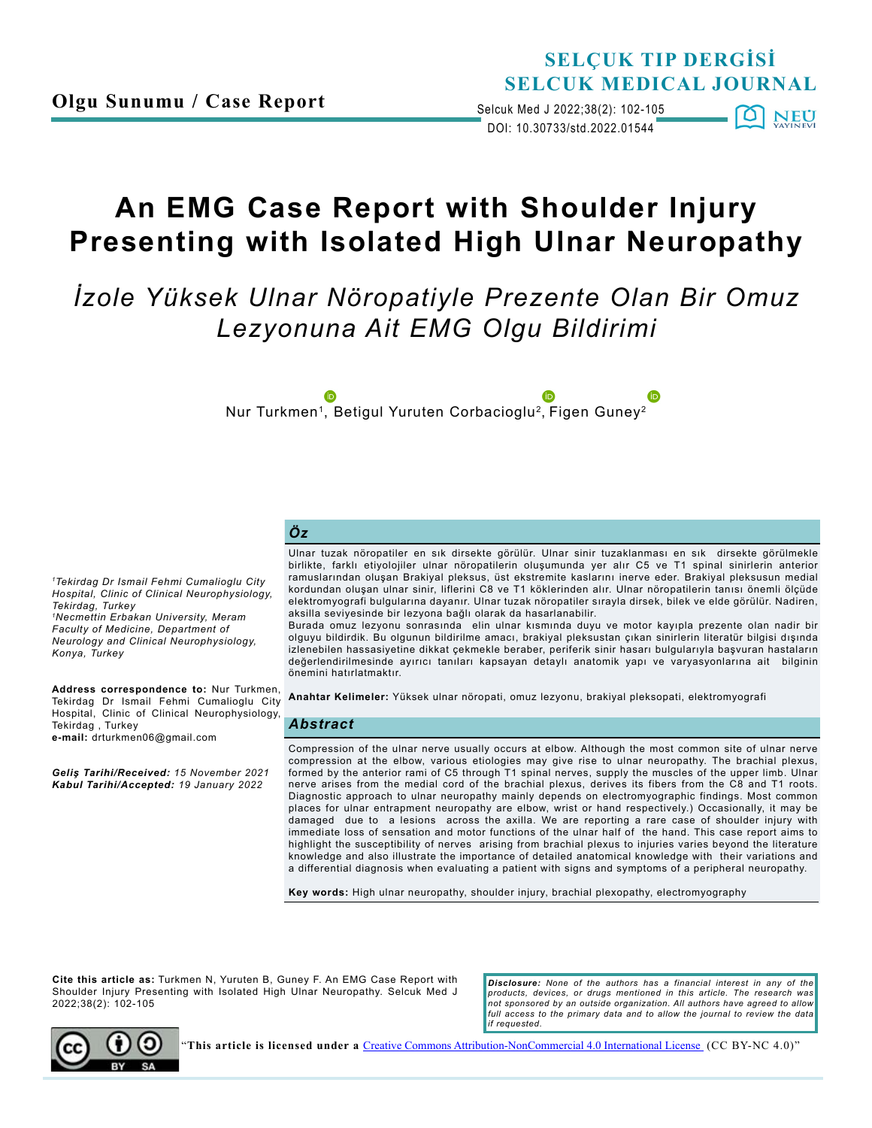## **SELÇUK TIP DERGİSİ SELCUK MEDICAL JOURNAL**

DOI: 10.30733/std.2022.01544 Selcuk Med J 2022;38(2): 102-105  $\Omega$ NEU

# **An EMG Case Report with Shoulder Injury Presenting with Isolated High Ulnar Neuropathy**

*İzole Yüksek Ulnar Nöropatiyle Prezente Olan Bir Omuz Lezyonuna Ait EMG Olgu Bildirimi* 

Nur Turkmen<sup>1</sup>, Betigul Yuruten Corbacioglu<sup>2</sup>, Figen Guney<sup>2</sup>

#### *Öz*

*1Tekirdag Dr Ismail Fehmi Cumalioglu City Hospital, Clinic of Clinical Neurophysiology, Tekirdag, Turkey 1Necmettin Erbakan University, Meram Faculty of Medicine, Department of Neurology and Clinical Neurophysiology, Konya, Turkey*

**Address correspondence to:** Nur Turkmen, Tekirdag Dr Ismail Fehmi Cumalioglu City Hospital, Clinic of Clinical Neurophysiology, Tekirdag , Turkey **e-mail:** drturkmen06@gmail.com

*Geliş Tarihi/Received: 15 November 2021 Kabul Tarihi/Accepted: 19 January 2022*

Ulnar tuzak nöropatiler en sık dirsekte görülür. Ulnar sinir tuzaklanması en sık dirsekte görülmekle birlikte, farklı etiyolojiler ulnar nöropatilerin oluşumunda yer alır C5 ve T1 spinal sinirlerin anterior ramuslarından oluşan Brakiyal pleksus, üst ekstremite kaslarını inerve eder. Brakiyal pleksusun medial kordundan oluşan ulnar sinir, liflerini C8 ve T1 köklerinden alır. Ulnar nöropatilerin tanısı önemli ölçüde elektromyografi bulgularına dayanır. Ulnar tuzak nöropatiler sırayla dirsek, bilek ve elde görülür. Nadiren, aksilla seviyesinde bir lezyona bağlı olarak da hasarlanabilir.

Burada omuz lezyonu sonrasında elin ulnar kısmında duyu ve motor kayıpla prezente olan nadir bir olguyu bildirdik. Bu olgunun bildirilme amacı, brakiyal pleksustan çıkan sinirlerin literatür bilgisi dışında izlenebilen hassasiyetine dikkat çekmekle beraber, periferik sinir hasarı bulgularıyla başvuran hastaların değerlendirilmesinde ayırıcı tanıları kapsayan detaylı anatomik yapı ve varyasyonlarına ait bilginin önemini hatırlatmaktır.

**Anahtar Kelimeler:** Yüksek ulnar nöropati, omuz lezyonu, brakiyal pleksopati, elektromyografi

#### *Abstract*

Compression of the ulnar nerve usually occurs at elbow. Although the most common site of ulnar nerve compression at the elbow, various etiologies may give rise to ulnar neuropathy. The brachial plexus, formed by the anterior rami of C5 through T1 spinal nerves, supply the muscles of the upper limb. Ulnar nerve arises from the medial cord of the brachial plexus, derives its fibers from the C8 and T1 roots. Diagnostic approach to ulnar neuropathy mainly depends on electromyographic findings. Most common places for ulnar entrapment neuropathy are elbow, wrist or hand respectively.) Occasionally, it may be damaged due to a lesions across the axilla. We are reporting a rare case of shoulder injury with immediate loss of sensation and motor functions of the ulnar half of the hand. This case report aims to highlight the susceptibility of nerves arising from brachial plexus to injuries varies beyond the literature knowledge and also illustrate the importance of detailed anatomical knowledge with their variations and a differential diagnosis when evaluating a patient with signs and symptoms of a peripheral neuropathy.

**Key words:** High ulnar neuropathy, shoulder injury, brachial plexopathy, electromyography

**Cite this article as:** Turkmen N, Yuruten B, Guney F. An EMG Case Report with Shoulder Injury Presenting with Isolated High Ulnar Neuropathy. Selcuk Med J 2022;38(2): 102-105

*Disclosure: None of the authors has a financial interest in any of the products, devices, or drugs mentioned in this article. The research was not sponsored by an outside organization. All authors have agreed to allow*  full access to the primary data and to allow the journal to review the data *if requested.*



"**This article is licensed under a** [Creative Commons Attribution-NonCommercial 4.0 International License](https://creativecommons.org/licenses/by-nc/4.0/) (CC BY-NC 4.0)"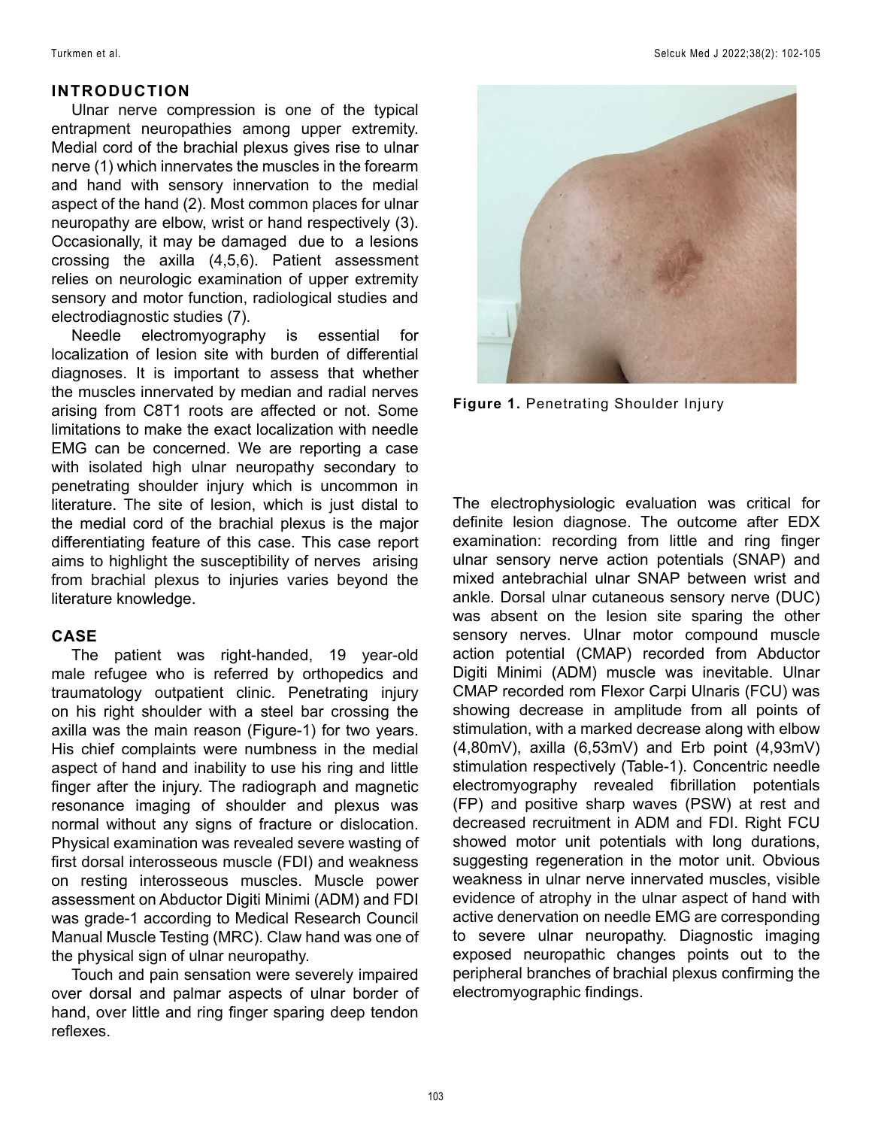### **INTRODUCTION**

Ulnar nerve compression is one of the typical entrapment neuropathies among upper extremity. Medial cord of the brachial plexus gives rise to ulnar nerve (1) which innervates the muscles in the forearm and hand with sensory innervation to the medial aspect of the hand (2). Most common places for ulnar neuropathy are elbow, wrist or hand respectively (3). Occasionally, it may be damaged due to a lesions crossing the axilla (4,5,6). Patient assessment relies on neurologic examination of upper extremity sensory and motor function, radiological studies and electrodiagnostic studies (7).

Needle electromyography is essential for localization of lesion site with burden of differential diagnoses. It is important to assess that whether the muscles innervated by median and radial nerves arising from C8T1 roots are affected or not. Some limitations to make the exact localization with needle EMG can be concerned. We are reporting a case with isolated high ulnar neuropathy secondary to penetrating shoulder injury which is uncommon in literature. The site of lesion, which is just distal to the medial cord of the brachial plexus is the major differentiating feature of this case. This case report aims to highlight the susceptibility of nerves arising from brachial plexus to injuries varies beyond the literature knowledge.

## **CASE**

The patient was right-handed, 19 year-old male refugee who is referred by orthopedics and traumatology outpatient clinic. Penetrating injury on his right shoulder with a steel bar crossing the axilla was the main reason (Figure-1) for two years. His chief complaints were numbness in the medial aspect of hand and inability to use his ring and little finger after the injury. The radiograph and magnetic resonance imaging of shoulder and plexus was normal without any signs of fracture or dislocation. Physical examination was revealed severe wasting of first dorsal interosseous muscle (FDI) and weakness on resting interosseous muscles. Muscle power assessment on Abductor Digiti Minimi (ADM) and FDI was grade-1 according to Medical Research Council Manual Muscle Testing (MRC). Claw hand was one of the physical sign of ulnar neuropathy.

Touch and pain sensation were severely impaired over dorsal and palmar aspects of ulnar border of hand, over little and ring finger sparing deep tendon reflexes.



**Figure 1.** Penetrating Shoulder Injury

The electrophysiologic evaluation was critical for definite lesion diagnose. The outcome after EDX examination: recording from little and ring finger ulnar sensory nerve action potentials (SNAP) and mixed antebrachial ulnar SNAP between wrist and ankle. Dorsal ulnar cutaneous sensory nerve (DUC) was absent on the lesion site sparing the other sensory nerves. Ulnar motor compound muscle action potential (CMAP) recorded from Abductor Digiti Minimi (ADM) muscle was inevitable. Ulnar CMAP recorded rom Flexor Carpi Ulnaris (FCU) was showing decrease in amplitude from all points of stimulation, with a marked decrease along with elbow (4,80mV), axilla (6,53mV) and Erb point (4,93mV) stimulation respectively (Table-1). Concentric needle electromyography revealed fibrillation potentials (FP) and positive sharp waves (PSW) at rest and decreased recruitment in ADM and FDI. Right FCU showed motor unit potentials with long durations, suggesting regeneration in the motor unit. Obvious weakness in ulnar nerve innervated muscles, visible evidence of atrophy in the ulnar aspect of hand with active denervation on needle EMG are corresponding to severe ulnar neuropathy. Diagnostic imaging exposed neuropathic changes points out to the peripheral branches of brachial plexus confirming the electromyographic findings.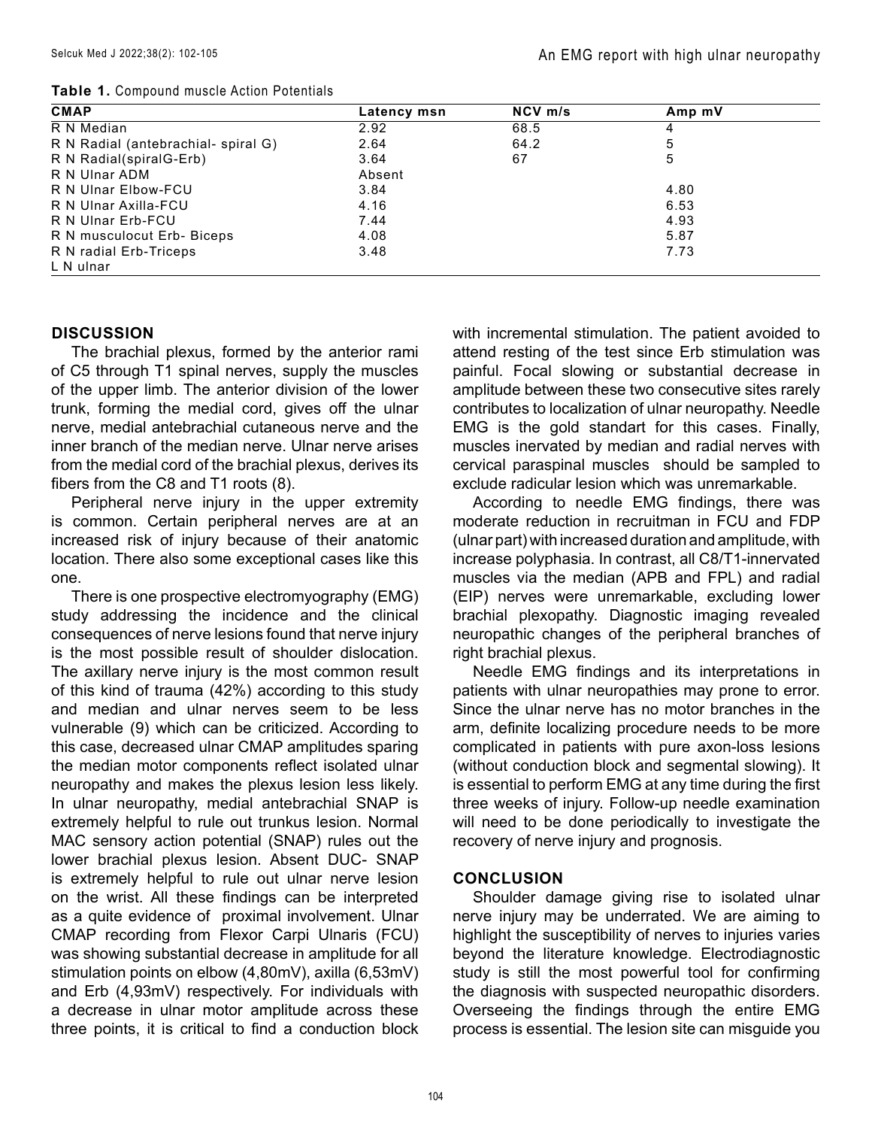|  |  | Table 1. Compound muscle Action Potentials |  |
|--|--|--------------------------------------------|--|
|--|--|--------------------------------------------|--|

| <b>CMAP</b>                        | Latency msn | NCV m/s | Amp mV |  |
|------------------------------------|-------------|---------|--------|--|
| R N Median                         | 2.92        | 68.5    | 4      |  |
| R N Radial (antebrachial-spiral G) | 2.64        | 64.2    | 5      |  |
| R N Radial(spiralG-Erb)            | 3.64        | 67      | 5      |  |
| R N Ulnar ADM                      | Absent      |         |        |  |
| R N Ulnar Elbow-FCU                | 3.84        |         | 4.80   |  |
| R N Ulnar Axilla-FCU               | 4.16        |         | 6.53   |  |
| R N Ulnar Erb-FCU                  | 7.44        |         | 4.93   |  |
| R N musculocut Erb- Biceps         | 4.08        |         | 5.87   |  |
| R N radial Erb-Triceps             | 3.48        |         | 7.73   |  |
| L N ulnar                          |             |         |        |  |

#### **DISCUSSION**

The brachial plexus, formed by the anterior rami of C5 through T1 spinal nerves, supply the muscles of the upper limb. The anterior division of the lower trunk, forming the medial cord, gives off the ulnar nerve, medial antebrachial cutaneous nerve and the inner branch of the median nerve. Ulnar nerve arises from the medial cord of the brachial plexus, derives its fibers from the C8 and T1 roots (8).

Peripheral nerve injury in the upper extremity is common. Certain peripheral nerves are at an increased risk of injury because of their anatomic location. There also some exceptional cases like this one.

There is one prospective electromyography (EMG) study addressing the incidence and the clinical consequences of nerve lesions found that nerve injury is the most possible result of shoulder dislocation. The axillary nerve injury is the most common result of this kind of trauma (42%) according to this study and median and ulnar nerves seem to be less vulnerable (9) which can be criticized. According to this case, decreased ulnar CMAP amplitudes sparing the median motor components reflect isolated ulnar neuropathy and makes the plexus lesion less likely. In ulnar neuropathy, medial antebrachial SNAP is extremely helpful to rule out trunkus lesion. Normal MAC sensory action potential (SNAP) rules out the lower brachial plexus lesion. Absent DUC- SNAP is extremely helpful to rule out ulnar nerve lesion on the wrist. All these findings can be interpreted as a quite evidence of proximal involvement. Ulnar CMAP recording from Flexor Carpi Ulnaris (FCU) was showing substantial decrease in amplitude for all stimulation points on elbow (4,80mV), axilla (6,53mV) and Erb (4,93mV) respectively. For individuals with a decrease in ulnar motor amplitude across these three points, it is critical to find a conduction block with incremental stimulation. The patient avoided to attend resting of the test since Erb stimulation was painful. Focal slowing or substantial decrease in amplitude between these two consecutive sites rarely contributes to localization of ulnar neuropathy. Needle EMG is the gold standart for this cases. Finally, muscles inervated by median and radial nerves with cervical paraspinal muscles should be sampled to exclude radicular lesion which was unremarkable.

According to needle EMG findings, there was moderate reduction in recruitman in FCU and FDP (ulnar part) with increased duration and amplitude, with increase polyphasia. In contrast, all C8/T1-innervated muscles via the median (APB and FPL) and radial (EIP) nerves were unremarkable, excluding lower brachial plexopathy. Diagnostic imaging revealed neuropathic changes of the peripheral branches of right brachial plexus.

Needle EMG findings and its interpretations in patients with ulnar neuropathies may prone to error. Since the ulnar nerve has no motor branches in the arm, definite localizing procedure needs to be more complicated in patients with pure axon-loss lesions (without conduction block and segmental slowing). It is essential to perform EMG at any time during the first three weeks of injury. Follow-up needle examination will need to be done periodically to investigate the recovery of nerve injury and prognosis.

#### **CONCLUSION**

Shoulder damage giving rise to isolated ulnar nerve injury may be underrated. We are aiming to highlight the susceptibility of nerves to injuries varies beyond the literature knowledge. Electrodiagnostic study is still the most powerful tool for confirming the diagnosis with suspected neuropathic disorders. Overseeing the findings through the entire EMG process is essential. The lesion site can misguide you